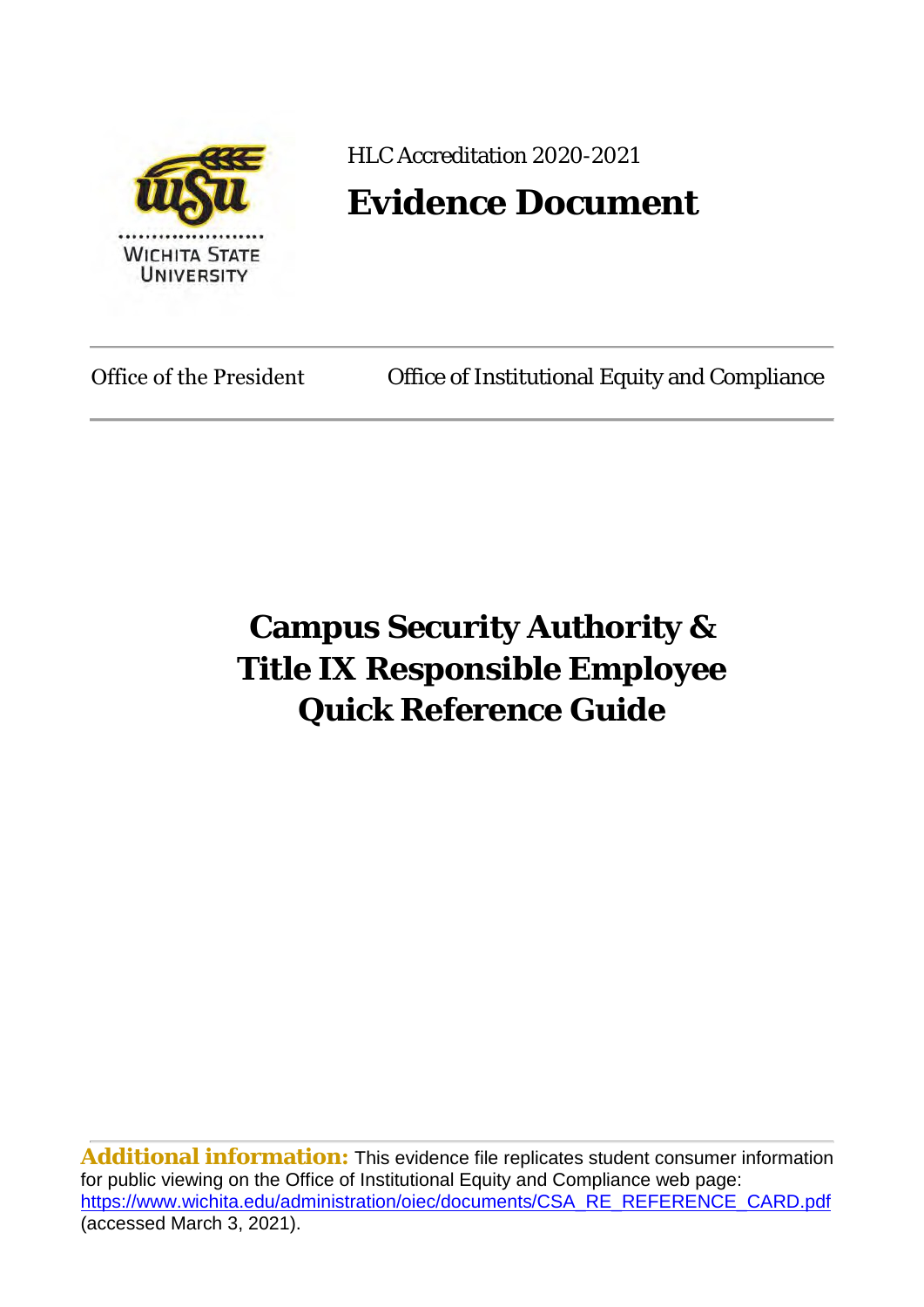

HLC Accreditation 2020-2021

# **Evidence Document**

Office of the President Office of Institutional Equity and Compliance

# **Campus Security Authority & Title IX Responsible Employee Quick Reference Guide**

**Additional information:** This evidence file replicates student consumer information for public viewing on the Office of Institutional Equity and Compliance web page: [https://www.wichita.edu/administration/oiec/documents/CSA\\_RE\\_REFERENCE\\_CARD.pdf](https://www.wichita.edu/administration/oiec/documents/CSA_RE_REFERENCE_CARD.pdf) (accessed March 3, 2021).